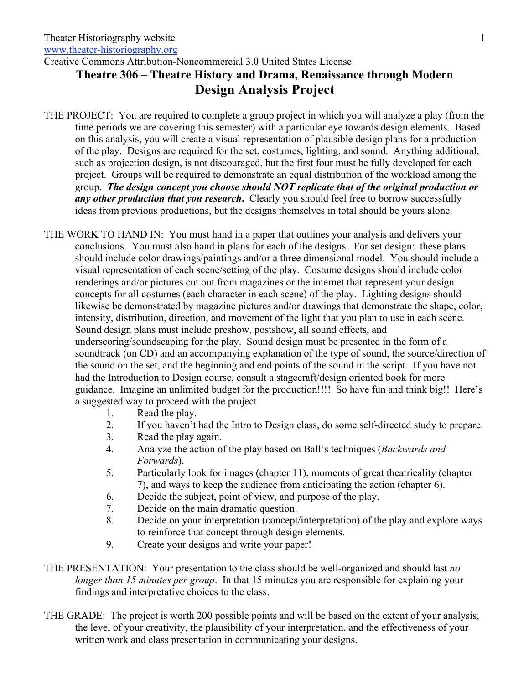Creative Commons Attribution-Noncommercial 3.0 United States License

## **Theatre 306 – Theatre History and Drama, Renaissance through Modern Design Analysis Project**

THE PROJECT: You are required to complete a group project in which you will analyze a play (from the time periods we are covering this semester) with a particular eye towards design elements. Based on this analysis, you will create a visual representation of plausible design plans for a production of the play. Designs are required for the set, costumes, lighting, and sound. Anything additional, such as projection design, is not discouraged, but the first four must be fully developed for each project. Groups will be required to demonstrate an equal distribution of the workload among the group. *The design concept you choose should NOT replicate that of the original production or any other production that you research*. Clearly you should feel free to borrow successfully ideas from previous productions, but the designs themselves in total should be yours alone.

THE WORK TO HAND IN: You must hand in a paper that outlines your analysis and delivers your conclusions. You must also hand in plans for each of the designs. For set design: these plans should include color drawings/paintings and/or a three dimensional model. You should include a visual representation of each scene/setting of the play. Costume designs should include color renderings and/or pictures cut out from magazines or the internet that represent your design concepts for all costumes (each character in each scene) of the play. Lighting designs should likewise be demonstrated by magazine pictures and/or drawings that demonstrate the shape, color, intensity, distribution, direction, and movement of the light that you plan to use in each scene. Sound design plans must include preshow, postshow, all sound effects, and underscoring/soundscaping for the play. Sound design must be presented in the form of a soundtrack (on CD) and an accompanying explanation of the type of sound, the source/direction of the sound on the set, and the beginning and end points of the sound in the script. If you have not had the Introduction to Design course, consult a stagecraft/design oriented book for more guidance. Imagine an unlimited budget for the production!!!! So have fun and think big!! Here's a suggested way to proceed with the project

- 1. Read the play.
- 2. If you haven't had the Intro to Design class, do some self-directed study to prepare.
- 3. Read the play again.
- 4. Analyze the action of the play based on Ball's techniques (*Backwards and Forwards*).
- 5. Particularly look for images (chapter 11), moments of great theatricality (chapter 7), and ways to keep the audience from anticipating the action (chapter 6).
- 6. Decide the subject, point of view, and purpose of the play.
- 7. Decide on the main dramatic question.
- 8. Decide on your interpretation (concept/interpretation) of the play and explore ways to reinforce that concept through design elements.
- 9. Create your designs and write your paper!
- THE PRESENTATION: Your presentation to the class should be well-organized and should last *no longer than 15 minutes per group*. In that 15 minutes you are responsible for explaining your findings and interpretative choices to the class.
- THE GRADE: The project is worth 200 possible points and will be based on the extent of your analysis, the level of your creativity, the plausibility of your interpretation, and the effectiveness of your written work and class presentation in communicating your designs.